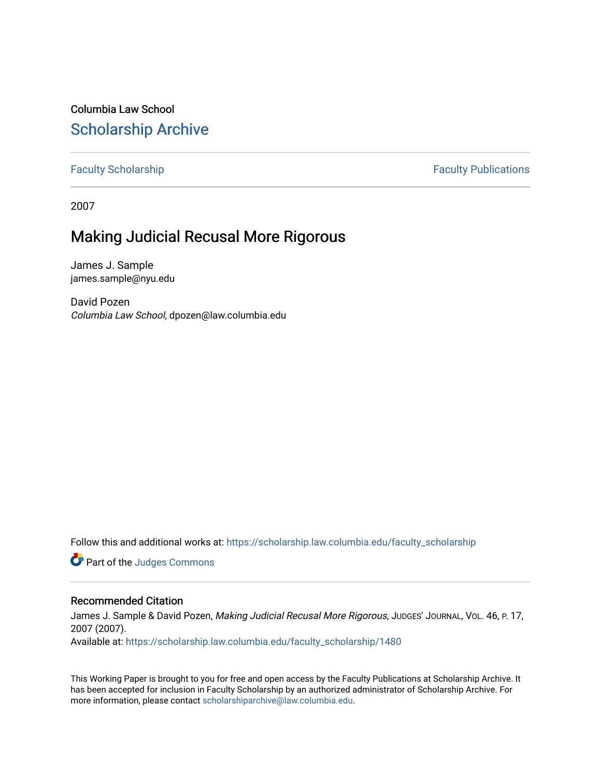Columbia Law School [Scholarship Archive](https://scholarship.law.columbia.edu/) 

[Faculty Scholarship](https://scholarship.law.columbia.edu/faculty_scholarship) **Faculty Publications** 

2007

# Making Judicial Recusal More Rigorous

James J. Sample james.sample@nyu.edu

David Pozen Columbia Law School, dpozen@law.columbia.edu

Follow this and additional works at: [https://scholarship.law.columbia.edu/faculty\\_scholarship](https://scholarship.law.columbia.edu/faculty_scholarship?utm_source=scholarship.law.columbia.edu%2Ffaculty_scholarship%2F1480&utm_medium=PDF&utm_campaign=PDFCoverPages)

Part of the [Judges Commons](http://network.bepress.com/hgg/discipline/849?utm_source=scholarship.law.columbia.edu%2Ffaculty_scholarship%2F1480&utm_medium=PDF&utm_campaign=PDFCoverPages) 

# Recommended Citation

James J. Sample & David Pozen, Making Judicial Recusal More Rigorous, JUDGES' JOURNAL, VOL. 46, P. 17, 2007 (2007). Available at: [https://scholarship.law.columbia.edu/faculty\\_scholarship/1480](https://scholarship.law.columbia.edu/faculty_scholarship/1480?utm_source=scholarship.law.columbia.edu%2Ffaculty_scholarship%2F1480&utm_medium=PDF&utm_campaign=PDFCoverPages)

This Working Paper is brought to you for free and open access by the Faculty Publications at Scholarship Archive. It has been accepted for inclusion in Faculty Scholarship by an authorized administrator of Scholarship Archive. For more information, please contact [scholarshiparchive@law.columbia.edu.](mailto:scholarshiparchive@law.columbia.edu)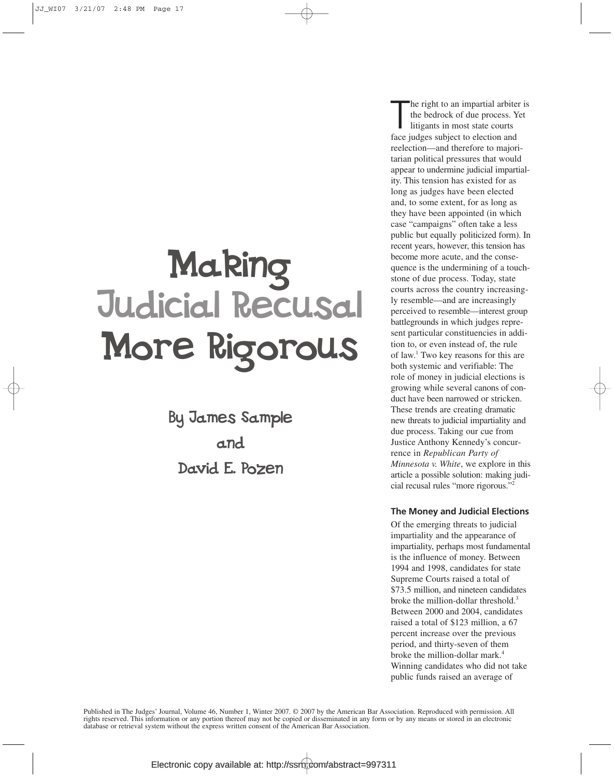# Making Judicial Recusal More Rigorous

By James Sample and David E. Pozen

he right to an impartial arbite<br>the bedrock of due process. Y<br>litigants in most state courts<br>face judges subject to election and he right to an impartial arbiter is the bedrock of due process. Yet litigants in most state courts reelection—and therefore to majoritarian political pressures that would appear to undermine judicial impartiality. This tension has existed for as long as judges have been elected and, to some extent, for as long as they have been appointed (in which case "campaigns" often take a less public but equally politicized form). In recent years, however, this tension has become more acute, and the consequence is the undermining of a touchstone of due process. Today, state courts across the country increasingly resemble—and are increasingly perceived to resemble—interest group battlegrounds in which judges represent particular constituencies in addition to, or even instead of, the rule of law.1 Two key reasons for this are both systemic and verifiable: The role of money in judicial elections is growing while several canons of conduct have been narrowed or stricken. These trends are creating dramatic new threats to judicial impartiality and due process. Taking our cue from Justice Anthony Kennedy's concurrence in *Republican Party of Minnesota v. White*, we explore in this article a possible solution: making judicial recusal rules "more rigorous."2

#### **The Money and Judicial Elections**

Of the emerging threats to judicial impartiality and the appearance of impartiality, perhaps most fundamental is the influence of money. Between 1994 and 1998, candidates for state Supreme Courts raised a total of \$73.5 million, and nineteen candidates broke the million-dollar threshold.<sup>3</sup> Between 2000 and 2004, candidates raised a total of \$123 million, a 67 percent increase over the previous period, and thirty-seven of them broke the million-dollar mark.<sup>4</sup> Winning candidates who did not take public funds raised an average of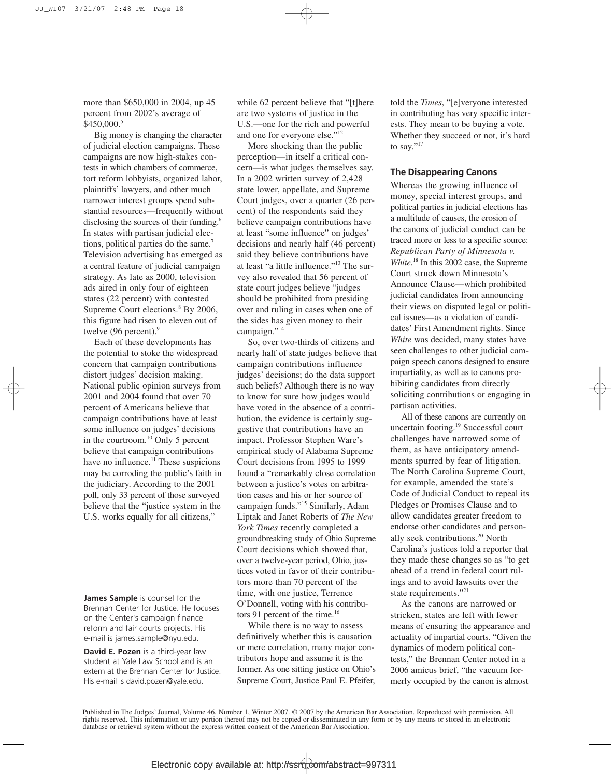more than \$650,000 in 2004, up 45 percent from 2002's average of \$450,000.5

Big money is changing the character of judicial election campaigns. These campaigns are now high-stakes contests in which chambers of commerce, tort reform lobbyists, organized labor, plaintiffs' lawyers, and other much narrower interest groups spend substantial resources—frequently without disclosing the sources of their funding.<sup>6</sup> In states with partisan judicial elections, political parties do the same.<sup>7</sup> Television advertising has emerged as a central feature of judicial campaign strategy. As late as 2000, television ads aired in only four of eighteen states (22 percent) with contested Supreme Court elections.<sup>8</sup> By 2006, this figure had risen to eleven out of twelve  $(96$  percent).<sup>9</sup>

Each of these developments has the potential to stoke the widespread concern that campaign contributions distort judges' decision making. National public opinion surveys from 2001 and 2004 found that over 70 percent of Americans believe that campaign contributions have at least some influence on judges' decisions in the courtroom.10 Only 5 percent believe that campaign contributions have no influence.<sup>11</sup> These suspicions may be corroding the public's faith in the judiciary. According to the 2001 poll, only 33 percent of those surveyed believe that the "justice system in the U.S. works equally for all citizens,"

**James Sample** is counsel for the Brennan Center for Justice. He focuses on the Center's campaign finance reform and fair courts projects. His e-mail is james.sample@nyu.edu.

**David E. Pozen** is a third-year law student at Yale Law School and is an extern at the Brennan Center for Justice. His e-mail is david.pozen@yale.edu.

while 62 percent believe that "[t]here are two systems of justice in the U.S.—one for the rich and powerful and one for everyone else."12

More shocking than the public perception—in itself a critical concern—is what judges themselves say. In a 2002 written survey of 2,428 state lower, appellate, and Supreme Court judges, over a quarter (26 percent) of the respondents said they believe campaign contributions have at least "some influence" on judges' decisions and nearly half (46 percent) said they believe contributions have at least "a little influence."13 The survey also revealed that 56 percent of state court judges believe "judges should be prohibited from presiding over and ruling in cases when one of the sides has given money to their campaign."<sup>14</sup>

So, over two-thirds of citizens and nearly half of state judges believe that campaign contributions influence judges' decisions; do the data support such beliefs? Although there is no way to know for sure how judges would have voted in the absence of a contribution, the evidence is certainly suggestive that contributions have an impact. Professor Stephen Ware's empirical study of Alabama Supreme Court decisions from 1995 to 1999 found a "remarkably close correlation between a justice's votes on arbitration cases and his or her source of campaign funds."15 Similarly, Adam Liptak and Janet Roberts of *The New York Times* recently completed a groundbreaking study of Ohio Supreme Court decisions which showed that, over a twelve-year period, Ohio, justices voted in favor of their contributors more than 70 percent of the time, with one justice, Terrence O'Donnell, voting with his contributors 91 percent of the time.<sup>16</sup>

While there is no way to assess definitively whether this is causation or mere correlation, many major contributors hope and assume it is the former. As one sitting justice on Ohio's Supreme Court, Justice Paul E. Pfeifer, told the *Times*, "[e]veryone interested in contributing has very specific interests. They mean to be buying a vote. Whether they succeed or not, it's hard to say."<sup>17</sup>

#### **The Disappearing Canons**

Whereas the growing influence of money, special interest groups, and political parties in judicial elections has a multitude of causes, the erosion of the canons of judicial conduct can be traced more or less to a specific source: *Republican Party of Minnesota v. White*.<sup>18</sup> In this 2002 case, the Supreme Court struck down Minnesota's Announce Clause—which prohibited judicial candidates from announcing their views on disputed legal or political issues—as a violation of candidates' First Amendment rights. Since *White* was decided, many states have seen challenges to other judicial campaign speech canons designed to ensure impartiality, as well as to canons prohibiting candidates from directly soliciting contributions or engaging in partisan activities.

All of these canons are currently on uncertain footing.19 Successful court challenges have narrowed some of them, as have anticipatory amendments spurred by fear of litigation. The North Carolina Supreme Court, for example, amended the state's Code of Judicial Conduct to repeal its Pledges or Promises Clause and to allow candidates greater freedom to endorse other candidates and personally seek contributions.20 North Carolina's justices told a reporter that they made these changes so as "to get ahead of a trend in federal court rulings and to avoid lawsuits over the state requirements."<sup>21</sup>

As the canons are narrowed or stricken, states are left with fewer means of ensuring the appearance and actuality of impartial courts. "Given the dynamics of modern political contests," the Brennan Center noted in a 2006 amicus brief, "the vacuum formerly occupied by the canon is almost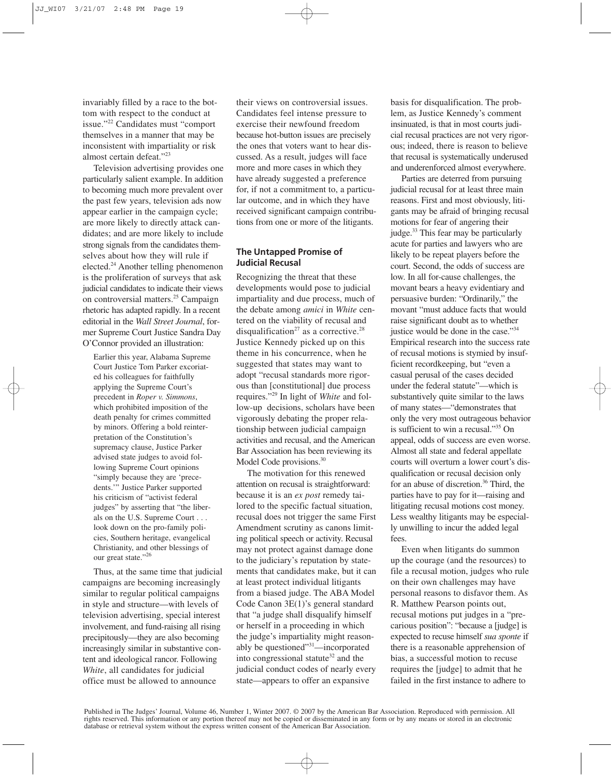invariably filled by a race to the bottom with respect to the conduct at issue."22 Candidates must "comport themselves in a manner that may be inconsistent with impartiality or risk almost certain defeat."23

Television advertising provides one particularly salient example. In addition to becoming much more prevalent over the past few years, television ads now appear earlier in the campaign cycle; are more likely to directly attack candidates; and are more likely to include strong signals from the candidates themselves about how they will rule if elected.24 Another telling phenomenon is the proliferation of surveys that ask judicial candidates to indicate their views on controversial matters.25 Campaign rhetoric has adapted rapidly. In a recent editorial in the *Wall Street Journal*, former Supreme Court Justice Sandra Day O'Connor provided an illustration:

Earlier this year, Alabama Supreme Court Justice Tom Parker excoriated his colleagues for faithfully applying the Supreme Court's precedent in *Roper v. Simmons*, which prohibited imposition of the death penalty for crimes committed by minors. Offering a bold reinterpretation of the Constitution's supremacy clause, Justice Parker advised state judges to avoid following Supreme Court opinions "simply because they are 'precedents.'" Justice Parker supported his criticism of "activist federal judges" by asserting that "the liberals on the U.S. Supreme Court . . . look down on the pro-family policies, Southern heritage, evangelical Christianity, and other blessings of our great state."26

Thus, at the same time that judicial campaigns are becoming increasingly similar to regular political campaigns in style and structure—with levels of television advertising, special interest involvement, and fund-raising all rising precipitously—they are also becoming increasingly similar in substantive content and ideological rancor. Following *White*, all candidates for judicial office must be allowed to announce

their views on controversial issues. Candidates feel intense pressure to exercise their newfound freedom because hot-button issues are precisely the ones that voters want to hear discussed. As a result, judges will face more and more cases in which they have already suggested a preference for, if not a commitment to, a particular outcome, and in which they have received significant campaign contributions from one or more of the litigants.

## **The Untapped Promise of Judicial Recusal**

Recognizing the threat that these developments would pose to judicial impartiality and due process, much of the debate among *amici* in *White* centered on the viability of recusal and disqualification<sup>27</sup> as a corrective.<sup>28</sup> Justice Kennedy picked up on this theme in his concurrence, when he suggested that states may want to adopt "recusal standards more rigorous than [constitutional] due process requires."29 In light of *White* and follow-up decisions, scholars have been vigorously debating the proper relationship between judicial campaign activities and recusal, and the American Bar Association has been reviewing its Model Code provisions.<sup>30</sup>

The motivation for this renewed attention on recusal is straightforward: because it is an *ex post* remedy tailored to the specific factual situation, recusal does not trigger the same First Amendment scrutiny as canons limiting political speech or activity. Recusal may not protect against damage done to the judiciary's reputation by statements that candidates make, but it can at least protect individual litigants from a biased judge. The ABA Model Code Canon 3E(1)'s general standard that "a judge shall disqualify himself or herself in a proceeding in which the judge's impartiality might reasonably be questioned"31—incorporated into congressional statute<sup>32</sup> and the judicial conduct codes of nearly every state—appears to offer an expansive

basis for disqualification. The problem, as Justice Kennedy's comment insinuated, is that in most courts judicial recusal practices are not very rigorous; indeed, there is reason to believe that recusal is systematically underused and underenforced almost everywhere.

Parties are deterred from pursuing judicial recusal for at least three main reasons. First and most obviously, litigants may be afraid of bringing recusal motions for fear of angering their judge.<sup>33</sup> This fear may be particularly acute for parties and lawyers who are likely to be repeat players before the court. Second, the odds of success are low. In all for-cause challenges, the movant bears a heavy evidentiary and persuasive burden: "Ordinarily," the movant "must adduce facts that would raise significant doubt as to whether justice would be done in the case."34 Empirical research into the success rate of recusal motions is stymied by insufficient recordkeeping, but "even a casual perusal of the cases decided under the federal statute"—which is substantively quite similar to the laws of many states—"demonstrates that only the very most outrageous behavior is sufficient to win a recusal."35 On appeal, odds of success are even worse. Almost all state and federal appellate courts will overturn a lower court's disqualification or recusal decision only for an abuse of discretion.<sup>36</sup> Third, the parties have to pay for it—raising and litigating recusal motions cost money. Less wealthy litigants may be especially unwilling to incur the added legal fees.

Even when litigants do summon up the courage (and the resources) to file a recusal motion, judges who rule on their own challenges may have personal reasons to disfavor them. As R. Matthew Pearson points out, recusal motions put judges in a "precarious position": "because a [judge] is expected to recuse himself *sua sponte* if there is a reasonable apprehension of bias, a successful motion to recuse requires the [judge] to admit that he failed in the first instance to adhere to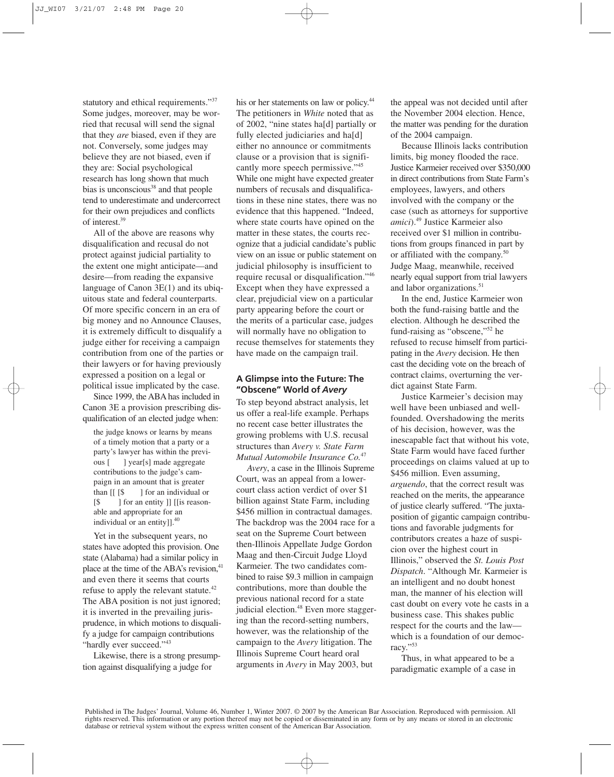statutory and ethical requirements."<sup>37</sup> Some judges, moreover, may be worried that recusal will send the signal that they *are* biased, even if they are not. Conversely, some judges may believe they are not biased, even if they are: Social psychological research has long shown that much bias is unconscious<sup>38</sup> and that people tend to underestimate and undercorrect for their own prejudices and conflicts of interest.39

All of the above are reasons why disqualification and recusal do not protect against judicial partiality to the extent one might anticipate—and desire—from reading the expansive language of Canon 3E(1) and its ubiquitous state and federal counterparts. Of more specific concern in an era of big money and no Announce Clauses, it is extremely difficult to disqualify a judge either for receiving a campaign contribution from one of the parties or their lawyers or for having previously expressed a position on a legal or political issue implicated by the case.

Since 1999, the ABA has included in Canon 3E a provision prescribing disqualification of an elected judge when:

the judge knows or learns by means of a timely motion that a party or a party's lawyer has within the previous [ ] year[s] made aggregate contributions to the judge's campaign in an amount that is greater than  $\left[\begin{array}{cc} \left[ \begin{array}{cc} \S \end{array} \right] \end{array}\right]$  for an individual or [\$ ] for an entity ]] [[is reasonable and appropriate for an individual or an entity] $]^{40}$ .

Yet in the subsequent years, no states have adopted this provision. One state (Alabama) had a similar policy in place at the time of the ABA's revision,<sup>41</sup> and even there it seems that courts refuse to apply the relevant statute.<sup>42</sup> The ABA position is not just ignored; it is inverted in the prevailing jurisprudence, in which motions to disqualify a judge for campaign contributions "hardly ever succeed."<sup>43</sup>

Likewise, there is a strong presumption against disqualifying a judge for

his or her statements on law or policy.<sup>44</sup> The petitioners in *White* noted that as of 2002, "nine states ha[d] partially or fully elected judiciaries and ha[d] either no announce or commitments clause or a provision that is significantly more speech permissive."<sup>45</sup> While one might have expected greater numbers of recusals and disqualifications in these nine states, there was no evidence that this happened. "Indeed, where state courts have opined on the matter in these states, the courts recognize that a judicial candidate's public view on an issue or public statement on judicial philosophy is insufficient to require recusal or disqualification."46 Except when they have expressed a clear, prejudicial view on a particular party appearing before the court or the merits of a particular case, judges will normally have no obligation to recuse themselves for statements they have made on the campaign trail.

#### **A Glimpse into the Future: The "Obscene" World of** *Avery*

To step beyond abstract analysis, let us offer a real-life example. Perhaps no recent case better illustrates the growing problems with U.S. recusal structures than *Avery v. State Farm Mutual Automobile Insurance Co.*<sup>47</sup>

*Avery*, a case in the Illinois Supreme Court, was an appeal from a lowercourt class action verdict of over \$1 billion against State Farm, including \$456 million in contractual damages. The backdrop was the 2004 race for a seat on the Supreme Court between then-Illinois Appellate Judge Gordon Maag and then-Circuit Judge Lloyd Karmeier. The two candidates combined to raise \$9.3 million in campaign contributions, more than double the previous national record for a state judicial election.<sup>48</sup> Even more staggering than the record-setting numbers, however, was the relationship of the campaign to the *Avery* litigation. The Illinois Supreme Court heard oral arguments in *Avery* in May 2003, but

the appeal was not decided until after the November 2004 election. Hence, the matter was pending for the duration of the 2004 campaign.

Because Illinois lacks contribution limits, big money flooded the race. Justice Karmeier received over \$350,000 in direct contributions from State Farm's employees, lawyers, and others involved with the company or the case (such as attorneys for supportive *amici*).49 Justice Karmeier also received over \$1 million in contributions from groups financed in part by or affiliated with the company.50 Judge Maag, meanwhile, received nearly equal support from trial lawyers and labor organizations.<sup>51</sup>

In the end, Justice Karmeier won both the fund-raising battle and the election. Although he described the fund-raising as "obscene,"52 he refused to recuse himself from participating in the *Avery* decision. He then cast the deciding vote on the breach of contract claims, overturning the verdict against State Farm.

Justice Karmeier's decision may well have been unbiased and wellfounded. Overshadowing the merits of his decision, however, was the inescapable fact that without his vote, State Farm would have faced further proceedings on claims valued at up to \$456 million. Even assuming, *arguendo*, that the correct result was reached on the merits, the appearance of justice clearly suffered. "The juxtaposition of gigantic campaign contributions and favorable judgments for contributors creates a haze of suspicion over the highest court in Illinois," observed the *St. Louis Post Dispatch*. "Although Mr. Karmeier is an intelligent and no doubt honest man, the manner of his election will cast doubt on every vote he casts in a business case. This shakes public respect for the courts and the law which is a foundation of our democracy."53

Thus, in what appeared to be a paradigmatic example of a case in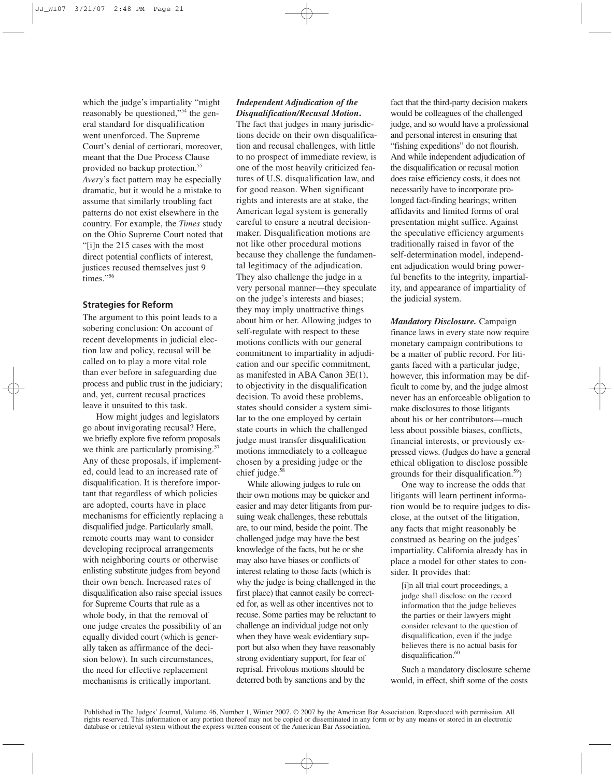which the judge's impartiality "might reasonably be questioned,"54 the general standard for disqualification went unenforced. The Supreme Court's denial of certiorari, moreover, meant that the Due Process Clause provided no backup protection.<sup>55</sup> *Avery*'s fact pattern may be especially dramatic, but it would be a mistake to assume that similarly troubling fact patterns do not exist elsewhere in the country. For example, the *Times* study on the Ohio Supreme Court noted that "[i]n the 215 cases with the most direct potential conflicts of interest, justices recused themselves just 9 times."<sup>56</sup>

## **Strategies for Reform**

The argument to this point leads to a sobering conclusion: On account of recent developments in judicial election law and policy, recusal will be called on to play a more vital role than ever before in safeguarding due process and public trust in the judiciary; and, yet, current recusal practices leave it unsuited to this task.

How might judges and legislators go about invigorating recusal? Here, we briefly explore five reform proposals we think are particularly promising.<sup>57</sup> Any of these proposals, if implemented, could lead to an increased rate of disqualification. It is therefore important that regardless of which policies are adopted, courts have in place mechanisms for efficiently replacing a disqualified judge. Particularly small, remote courts may want to consider developing reciprocal arrangements with neighboring courts or otherwise enlisting substitute judges from beyond their own bench. Increased rates of disqualification also raise special issues for Supreme Courts that rule as a whole body, in that the removal of one judge creates the possibility of an equally divided court (which is generally taken as affirmance of the decision below). In such circumstances, the need for effective replacement mechanisms is critically important.

# *Independent Adjudication of the Disqualification/Recusal Motion***.**

The fact that judges in many jurisdictions decide on their own disqualification and recusal challenges, with little to no prospect of immediate review, is one of the most heavily criticized features of U.S. disqualification law, and for good reason. When significant rights and interests are at stake, the American legal system is generally careful to ensure a neutral decisionmaker. Disqualification motions are not like other procedural motions because they challenge the fundamental legitimacy of the adjudication. They also challenge the judge in a very personal manner—they speculate on the judge's interests and biases; they may imply unattractive things about him or her. Allowing judges to self-regulate with respect to these motions conflicts with our general commitment to impartiality in adjudication and our specific commitment, as manifested in ABA Canon 3E(1), to objectivity in the disqualification decision. To avoid these problems, states should consider a system similar to the one employed by certain state courts in which the challenged judge must transfer disqualification motions immediately to a colleague chosen by a presiding judge or the chief judge.<sup>58</sup>

While allowing judges to rule on their own motions may be quicker and easier and may deter litigants from pursuing weak challenges, these rebuttals are, to our mind, beside the point. The challenged judge may have the best knowledge of the facts, but he or she may also have biases or conflicts of interest relating to those facts (which is why the judge is being challenged in the first place) that cannot easily be corrected for, as well as other incentives not to recuse. Some parties may be reluctant to challenge an individual judge not only when they have weak evidentiary support but also when they have reasonably strong evidentiary support, for fear of reprisal. Frivolous motions should be deterred both by sanctions and by the

fact that the third-party decision makers would be colleagues of the challenged judge, and so would have a professional and personal interest in ensuring that "fishing expeditions" do not flourish. And while independent adjudication of the disqualification or recusal motion does raise efficiency costs, it does not necessarily have to incorporate prolonged fact-finding hearings; written affidavits and limited forms of oral presentation might suffice. Against the speculative efficiency arguments traditionally raised in favor of the self-determination model, independent adjudication would bring powerful benefits to the integrity, impartiality, and appearance of impartiality of the judicial system.

*Mandatory Disclosure.* Campaign finance laws in every state now require monetary campaign contributions to be a matter of public record. For litigants faced with a particular judge, however, this information may be difficult to come by, and the judge almost never has an enforceable obligation to make disclosures to those litigants about his or her contributors—much less about possible biases, conflicts, financial interests, or previously expressed views. (Judges do have a general ethical obligation to disclose possible grounds for their disqualification.<sup>59</sup>)

One way to increase the odds that litigants will learn pertinent information would be to require judges to disclose, at the outset of the litigation, any facts that might reasonably be construed as bearing on the judges' impartiality. California already has in place a model for other states to consider. It provides that:

[i]n all trial court proceedings, a judge shall disclose on the record information that the judge believes the parties or their lawyers might consider relevant to the question of disqualification, even if the judge believes there is no actual basis for disqualification.<sup>60</sup>

Such a mandatory disclosure scheme would, in effect, shift some of the costs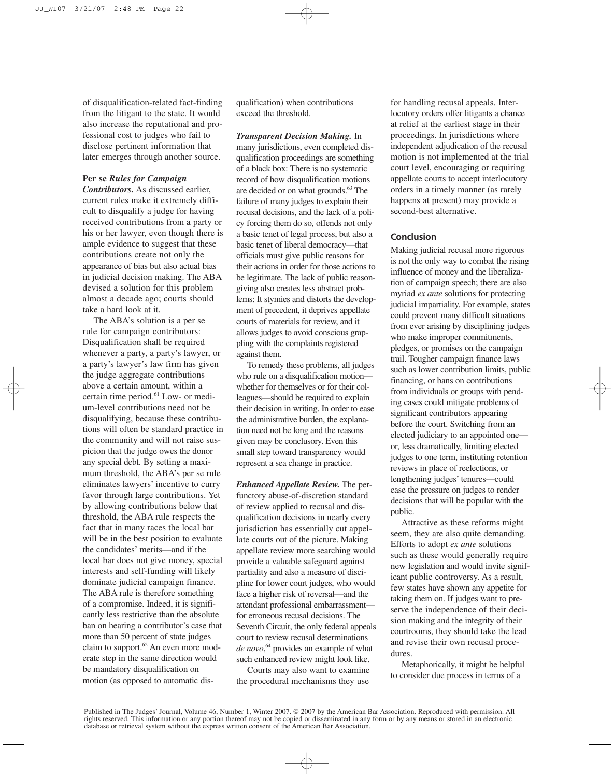of disqualification-related fact-finding from the litigant to the state. It would also increase the reputational and professional cost to judges who fail to disclose pertinent information that later emerges through another source.

#### **Per se** *Rules for Campaign*

*Contributors.* As discussed earlier, current rules make it extremely difficult to disqualify a judge for having received contributions from a party or his or her lawyer, even though there is ample evidence to suggest that these contributions create not only the appearance of bias but also actual bias in judicial decision making. The ABA devised a solution for this problem almost a decade ago; courts should take a hard look at it.

The ABA's solution is a per se rule for campaign contributors: Disqualification shall be required whenever a party, a party's lawyer, or a party's lawyer's law firm has given the judge aggregate contributions above a certain amount, within a certain time period.61 Low- or medium-level contributions need not be disqualifying, because these contributions will often be standard practice in the community and will not raise suspicion that the judge owes the donor any special debt. By setting a maximum threshold, the ABA's per se rule eliminates lawyers' incentive to curry favor through large contributions. Yet by allowing contributions below that threshold, the ABA rule respects the fact that in many races the local bar will be in the best position to evaluate the candidates' merits—and if the local bar does not give money, special interests and self-funding will likely dominate judicial campaign finance. The ABA rule is therefore something of a compromise. Indeed, it is significantly less restrictive than the absolute ban on hearing a contributor's case that more than 50 percent of state judges claim to support. $62$  An even more moderate step in the same direction would be mandatory disqualification on motion (as opposed to automatic dis-

qualification) when contributions exceed the threshold.

*Transparent Decision Making.* In many jurisdictions, even completed disqualification proceedings are something of a black box: There is no systematic record of how disqualification motions are decided or on what grounds.<sup>63</sup> The failure of many judges to explain their recusal decisions, and the lack of a policy forcing them do so, offends not only a basic tenet of legal process, but also a basic tenet of liberal democracy—that officials must give public reasons for their actions in order for those actions to be legitimate. The lack of public reasongiving also creates less abstract problems: It stymies and distorts the development of precedent, it deprives appellate courts of materials for review, and it allows judges to avoid conscious grappling with the complaints registered against them.

To remedy these problems, all judges who rule on a disqualification motion whether for themselves or for their colleagues—should be required to explain their decision in writing. In order to ease the administrative burden, the explanation need not be long and the reasons given may be conclusory. Even this small step toward transparency would represent a sea change in practice.

*Enhanced Appellate Review.* The perfunctory abuse-of-discretion standard of review applied to recusal and disqualification decisions in nearly every jurisdiction has essentially cut appellate courts out of the picture. Making appellate review more searching would provide a valuable safeguard against partiality and also a measure of discipline for lower court judges, who would face a higher risk of reversal—and the attendant professional embarrassment for erroneous recusal decisions. The Seventh Circuit, the only federal appeals court to review recusal determinations *de novo*, <sup>64</sup> provides an example of what such enhanced review might look like.

Courts may also want to examine the procedural mechanisms they use

for handling recusal appeals. Interlocutory orders offer litigants a chance at relief at the earliest stage in their proceedings. In jurisdictions where independent adjudication of the recusal motion is not implemented at the trial court level, encouraging or requiring appellate courts to accept interlocutory orders in a timely manner (as rarely happens at present) may provide a second-best alternative.

#### **Conclusion**

Making judicial recusal more rigorous is not the only way to combat the rising influence of money and the liberalization of campaign speech; there are also myriad *ex ante* solutions for protecting judicial impartiality. For example, states could prevent many difficult situations from ever arising by disciplining judges who make improper commitments, pledges, or promises on the campaign trail. Tougher campaign finance laws such as lower contribution limits, public financing, or bans on contributions from individuals or groups with pending cases could mitigate problems of significant contributors appearing before the court. Switching from an elected judiciary to an appointed one or, less dramatically, limiting elected judges to one term, instituting retention reviews in place of reelections, or lengthening judges' tenures—could ease the pressure on judges to render decisions that will be popular with the public.

Attractive as these reforms might seem, they are also quite demanding. Efforts to adopt *ex ante* solutions such as these would generally require new legislation and would invite significant public controversy. As a result, few states have shown any appetite for taking them on. If judges want to preserve the independence of their decision making and the integrity of their courtrooms, they should take the lead and revise their own recusal procedures.

Metaphorically, it might be helpful to consider due process in terms of a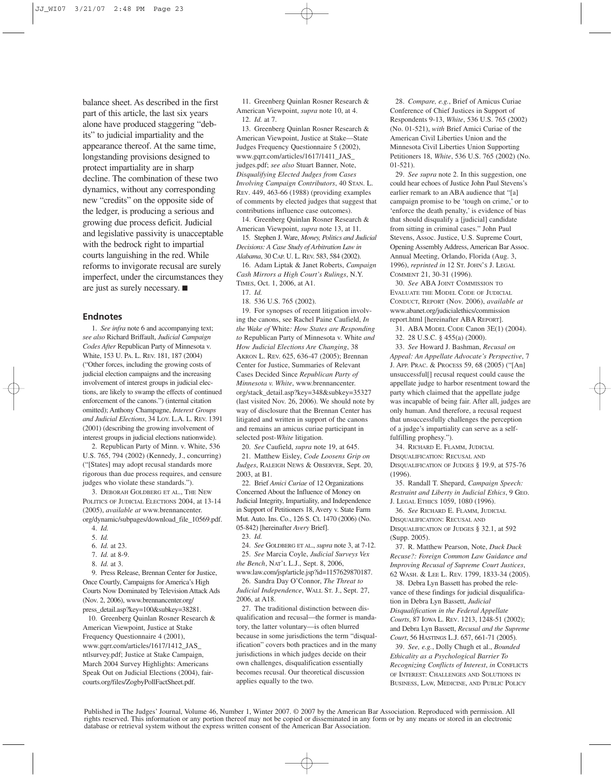balance sheet. As described in the first part of this article, the last six years alone have produced staggering "debits" to judicial impartiality and the appearance thereof. At the same time, longstanding provisions designed to protect impartiality are in sharp decline. The combination of these two dynamics, without any corresponding new "credits" on the opposite side of the ledger, is producing a serious and growing due process deficit. Judicial and legislative passivity is unacceptable with the bedrock right to impartial courts languishing in the red. While reforms to invigorate recusal are surely imperfect, under the circumstances they are just as surely necessary. ■

#### **Endnotes**

1. *See infra* note 6 and accompanying text; *see also* Richard Briffault, *Judicial Campaign Codes After* Republican Party of Minnesota v. White, 153 U. PA. L. REV. 181, 187 (2004) ("Other forces, including the growing costs of judicial election campaigns and the increasing involvement of interest groups in judicial elections, are likely to swamp the effects of continued enforcement of the canons.") (internal citation omitted); Anthony Champagne, *Interest Groups and Judicial Elections*, 34 LOY. L.A. L. REV. 1391 (2001) (describing the growing involvement of interest groups in judicial elections nationwide).

2. Republican Party of Minn. v. White, 536 U.S. 765, 794 (2002) (Kennedy, J., concurring) ("[States] may adopt recusal standards more rigorous than due process requires, and censure judges who violate these standards.").

3. DEBORAH GOLDBERG ET AL., THE NEW POLITICS OF JUDICIAL ELECTIONS 2004, at 13-14 (2005), *available at* www.brennancenter. org/dynamic/subpages/download\_file\_10569.pdf.

- 4. *Id.*
- 5. *Id.*
- 6. *Id.* at 23.
- 7. *Id.* at 8-9.
- 8. *Id.* at 3.

9. Press Release, Brennan Center for Justice, Once Courtly, Campaigns for America's High Courts Now Dominated by Television Attack Ads (Nov. 2, 2006), www.brennancenter.org/ press\_detail.asp?key=100&subkey=38281.

10. Greenberg Quinlan Rosner Research & American Viewpoint, Justice at Stake Frequency Questionnaire 4 (2001), www.gqrr.com/articles/1617/1412\_JAS\_ ntlsurvey.pdf; Justice at Stake Campaign, March 2004 Survey Highlights: Americans Speak Out on Judicial Elections (2004), faircourts.org/files/ZogbyPollFactSheet.pdf.

11. Greenberg Quinlan Rosner Research & American Viewpoint, *supra* note 10, at 4. 12. *Id.* at 7.

13. Greenberg Quinlan Rosner Research & American Viewpoint, Justice at Stake—State Judges Frequency Questionnaire 5 (2002), www.gqrr.com/articles/1617/1411\_JAS\_ judges.pdf; *see also* Stuart Banner, Note, *Disqualifying Elected Judges from Cases Involving Campaign Contributors*, 40 STAN. L. REV. 449, 463-66 (1988) (providing examples of comments by elected judges that suggest that contributions influence case outcomes).

14. Greenberg Quinlan Rosner Research & American Viewpoint, *supra* note 13, at 11.

15. Stephen J. Ware, *Money, Politics and Judicial Decisions: A Case Study of Arbitration Law in Alabama*, 30 CAP. U. L. REV. 583, 584 (2002).

16. Adam Liptak & Janet Roberts, *Campaign Cash Mirrors a High Court's Rulings*, N.Y. TIMES, Oct. 1, 2006, at A1.

17. *Id.*

18. 536 U.S. 765 (2002).

19. For synopses of recent litigation involving the canons, see Rachel Paine Caufield, *In the Wake of* White*: How States are Responding to* Republican Party of Minnesota v. White *and How Judicial Elections Are Changing*, 38 AKRON L. REV. 625, 636-47 (2005); Brennan Center for Justice, Summaries of Relevant Cases Decided Since *Republican Party of Minnesota v. White*, www.brennancenter. org/stack\_detail.asp?key=348&subkey=35327 (last visited Nov. 26, 2006). We should note by way of disclosure that the Brennan Center has litigated and written in support of the canons and remains an amicus curiae participant in selected post-*White* litigation.

20. *See* Caufield, *supra* note 19, at 645.

21. Matthew Eisley, *Code Loosens Grip on Judges*, RALEIGH NEWS & OBSERVER, Sept. 20, 2003, at B1.

22. Brief *Amici Curiae* of 12 Organizations Concerned About the Influence of Money on Judicial Integrity, Impartiality, and Independence in Support of Petitioners 18, Avery v. State Farm Mut. Auto. Ins. Co., 126 S. Ct. 1470 (2006) (No. 05-842) [hereinafter *Avery* Brief].

24. *See* GOLDBERG ET AL., *supra* note 3, at 7-12. 25. *See* Marcia Coyle, *Judicial Surveys Vex the Bench*, NAT'L L.J., Sept. 8, 2006,

www.law.com/jsp/article.jsp?id=1157629870187. 26. Sandra Day O'Connor, *The Threat to Judicial Independence*, WALL ST. J., Sept. 27, 2006, at A18.

27. The traditional distinction between disqualification and recusal—the former is mandatory, the latter voluntary—is often blurred because in some jurisdictions the term "disqualification" covers both practices and in the many jurisdictions in which judges decide on their own challenges, disqualification essentially becomes recusal. Our theoretical discussion applies equally to the two.

28. *Compare, e.g.*, Brief of Amicus Curiae Conference of Chief Justices in Support of Respondents 9-13, *White*, 536 U.S. 765 (2002) (No. 01-521), *with* Brief Amici Curiae of the American Civil Liberties Union and the Minnesota Civil Liberties Union Supporting Petitioners 18, *White*, 536 U.S. 765 (2002) (No. 01-521).

29. *See supra* note 2. In this suggestion, one could hear echoes of Justice John Paul Stevens's earlier remark to an ABA audience that "[a] campaign promise to be 'tough on crime,' or to 'enforce the death penalty,' is evidence of bias that should disqualify a [judicial] candidate from sitting in criminal cases." John Paul Stevens, Assoc. Justice, U.S. Supreme Court, Opening Assembly Address, American Bar Assoc. Annual Meeting, Orlando, Florida (Aug. 3, 1996), *reprinted in* 12 ST. JOHN'S J. LEGAL COMMENT 21, 30-31 (1996).

30. *See* ABA JOINT COMMISSION TO EVALUATE THE MODEL CODE OF JUDICIAL CONDUCT, REPORT (Nov. 2006), *available at* www.abanet.org/judicialethics/commission report.html [hereinafter ABA REPORT].

31. ABA MODEL CODE Canon 3E(1) (2004).

32. 28 U.S.C. § 455(a) (2000).

33. *See* Howard J. Bashman, *Recusal on Appeal: An Appellate Advocate's Perspective*, 7 J. APP. PRAC. & PROCESS 59, 68 (2005) ("[An] unsuccessful[] recusal request could cause the appellate judge to harbor resentment toward the party which claimed that the appellate judge was incapable of being fair. After all, judges are only human. And therefore, a recusal request that unsuccessfully challenges the perception of a judge's impartiality can serve as a selffulfilling prophesy.").

34. RICHARD E. FLAMM, JUDICIAL DISQUALIFICATION: RECUSAL AND DISQUALIFICATION OF JUDGES § 19.9, at 575-76 (1996).

35. Randall T. Shepard, *Campaign Speech: Restraint and Liberty in Judicial Ethics*, 9 GEO. J. LEGAL ETHICS 1059, 1080 (1996).

36. *See* RICHARD E. FLAMM, JUDICIAL DISQUALIFICATION: RECUSAL AND DISQUALIFICATION OF JUDGES § 32.1, at 592 (Supp. 2005).

37. R. Matthew Pearson, Note, *Duck Duck Recuse?: Foreign Common Law Guidance and Improving Recusal of Supreme Court Justices*, 62 WASH. & LEE L. REV. 1799, 1833-34 (2005).

38. Debra Lyn Bassett has probed the relevance of these findings for judicial disqualification in Debra Lyn Bassett, *Judicial Disqualification in the Federal Appellate Courts*, 87 IOWA L. REV. 1213, 1248-51 (2002); and Debra Lyn Bassett, *Recusal and the Supreme Court*, 56 HASTINGS L.J. 657, 661-71 (2005).

39. *See, e.g.*, Dolly Chugh et al., *Bounded Ethicality as a Psychological Barrier To Recognizing Conflicts of Interest*, *in* CONFLICTS OF INTEREST: CHALLENGES AND SOLUTIONS IN BUSINESS, LAW, MEDICINE, AND PUBLIC POLICY

Published in The Judges' Journal, Volume 46, Number 1, Winter 2007. © 2007 by the American Bar Association. Reproduced with permission. All rights reserved. This information or any portion thereof may not be copied or disseminated in any form or by any means or stored in an electronic database or retrieval system without the express written consent of the American Bar Association.

<sup>23.</sup> *Id.*